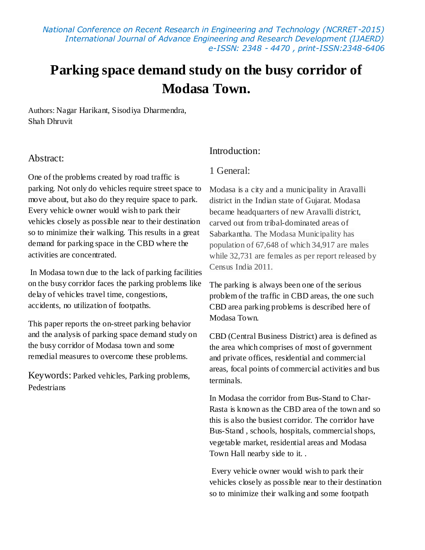*National Conference on Recent Research in Engineering and Technology (NCRRET-2015) International Journal of Advance Engineering and Research Development (IJAERD) e-ISSN: 2348 - 4470 , print-ISSN:2348-6406*

# **Parking space demand study on the busy corridor of Modasa Town.**

Authors: Nagar Harikant, Sisodiya Dharmendra, Shah Dhruvit

### Abstract:

One of the problems created by road traffic is parking. Not only do vehicles require street space to move about, but also do they require space to park. Every vehicle owner would wish to park their vehicles closely as possible near to their destination so to minimize their walking. This results in a great demand for parking space in the CBD where the activities are concentrated.

In Modasa town due to the lack of parking facilities on the busy corridor faces the parking problems like delay of vehicles travel time, congestions, accidents, no utilization of footpaths.

This paper reports the on-street parking behavior and the analysis of parking space demand study on the busy corridor of Modasa town and some remedial measures to overcome these problems.

Keywords: Parked vehicles, Parking problems, Pedestrians

### Introduction:

### 1 General:

Modasa is a city and a municipality in Aravalli district in the Indian state of Gujarat. Modasa became headquarters of new Aravalli district, carved out from tribal-dominated areas of Sabarkantha. The Modasa Municipality has population of 67,648 of which 34,917 are males while 32,731 are females as per report released by Census India 2011.

The parking is always been one of the serious problem of the traffic in CBD areas, the one such CBD area parking problems is described here of Modasa Town.

CBD (Central Business District) area is defined as the area which comprises of most of government and private offices, residential and commercial areas, focal points of commercial activities and bus terminals.

In Modasa the corridor from Bus-Stand to Char-Rasta is known as the CBD area of the town and so this is also the busiest corridor. The corridor have Bus-Stand , schools, hospitals, commercial shops, vegetable market, residential areas and Modasa Town Hall nearby side to it. .

Every vehicle owner would wish to park their vehicles closely as possible near to their destination so to minimize their walking and some footpath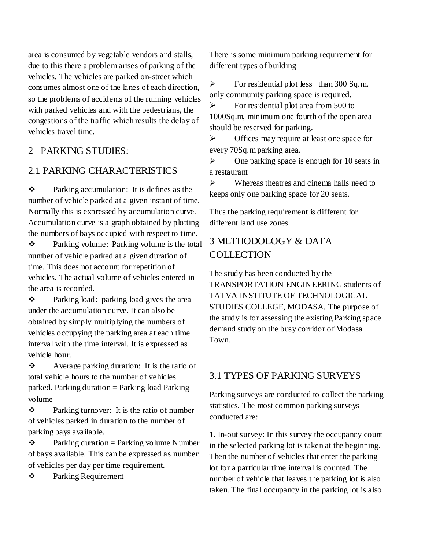area is consumed by vegetable vendors and stalls, due to this there a problem arises of parking of the vehicles. The vehicles are parked on-street which consumes almost one of the lanes of each direction, so the problems of accidents of the running vehicles with parked vehicles and with the pedestrians, the congestions of the traffic which results the delay of vehicles travel time.

### 2 PARKING STUDIES:

### 2.1 PARKING CHARACTERISTICS

 Parking accumulation: It is defines as the number of vehicle parked at a given instant of time. Normally this is expressed by accumulation curve. Accumulation curve is a graph obtained by plotting the numbers of bays occupied with respect to time.

 Parking volume: Parking volume is the total number of vehicle parked at a given duration of time. This does not account for repetition of vehicles. The actual volume of vehicles entered in the area is recorded.

\* Parking load: parking load gives the area under the accumulation curve. It can also be obtained by simply multiplying the numbers of vehicles occupying the parking area at each time interval with the time interval. It is expressed as vehicle hour.

 Average parking duration: It is the ratio of total vehicle hours to the number of vehicles parked. Parking duration  $=$  Parking load Parking volume

 Parking turnover: It is the ratio of number of vehicles parked in duration to the number of parking bays available.

 $\triangle$  Parking duration = Parking volume Number of bays available. This can be expressed as number of vehicles per day per time requirement.

Parking Requirement

There is some minimum parking requirement for different types of building

 $\triangleright$  For residential plot less than 300 Sq.m. only community parking space is required.

 $\triangleright$  For residential plot area from 500 to 1000Sq.m, minimum one fourth of the open area should be reserved for parking.

 $\triangleright$  Offices may require at least one space for every 70Sq.m parking area.

 $\triangleright$  One parking space is enough for 10 seats in a restaurant

 $\triangleright$  Whereas theatres and cinema halls need to keeps only one parking space for 20 seats.

Thus the parking requirement is different for different land use zones.

## 3 METHODOLOGY & DATA **COLLECTION**

The study has been conducted by the TRANSPORTATION ENGINEERING students of TATVA INSTITUTE OF TECHNOLOGICAL STUDIES COLLEGE, MODASA. The purpose of the study is for assessing the existing Parking space demand study on the busy corridor of Modasa Town.

### 3.1 TYPES OF PARKING SURVEYS

Parking surveys are conducted to collect the parking statistics. The most common parking surveys conducted are:

1. In-out survey: In this survey the occupancy count in the selected parking lot is taken at the beginning. Then the number of vehicles that enter the parking lot for a particular time interval is counted. The number of vehicle that leaves the parking lot is also taken. The final occupancy in the parking lot is also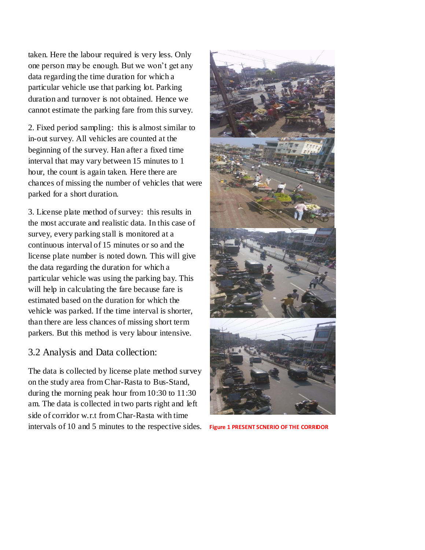taken. Here the labour required is very less. Only one person may be enough. But we won't get any data regarding the time duration for which a particular vehicle use that parking lot. Parking duration and turnover is not obtained. Hence we cannot estimate the parking fare from this survey.

2. Fixed period sampling: this is almost similar to in-out survey. All vehicles are counted at the beginning of the survey. Han after a fixed time interval that may vary between 15 minutes to 1 hour, the count is again taken. Here there are chances of missing the number of vehicles that were parked for a short duration.

3. License plate method of survey: this results in the most accurate and realistic data. In this case of survey, every parking stall is monitored at a continuous interval of 15 minutes or so and the license plate number is noted down. This will give the data regarding the duration for which a particular vehicle was using the parking bay. This will help in calculating the fare because fare is estimated based on the duration for which the vehicle was parked. If the time interval is shorter, than there are less chances of missing short term parkers. But this method is very labour intensive.

### 3.2 Analysis and Data collection:

The data is collected by license plate method survey on the study area from Char-Rasta to Bus-Stand, during the morning peak hour from 10:30 to 11:30 am. The data is collected in two parts right and left side of corridor w.r.t from Char-Rasta with time intervals of 10 and 5 minutes to the respective sides. **Figure 1 PRESENT SCNERIO OF THE CORRIDOR**

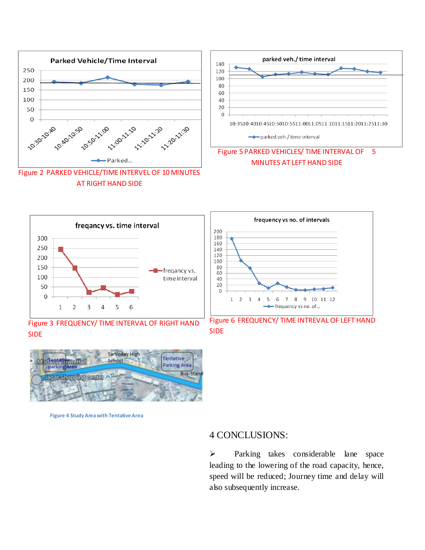



Figure 3 FREQUENCY/ TIME INTERVAL OF RIGHT HAND SIDE



Figure 6 FREQUENCY/ TIME INTREVAL OF LEFT HAND SIDE



 **Figure 4 Study Area with Tentative Area**

#### 4 CONCLUSIONS:

> Parking takes considerable lane space leading to the lowering of the road capacity, hence, speed will be reduced; Journey time and delay will also subsequently increase.